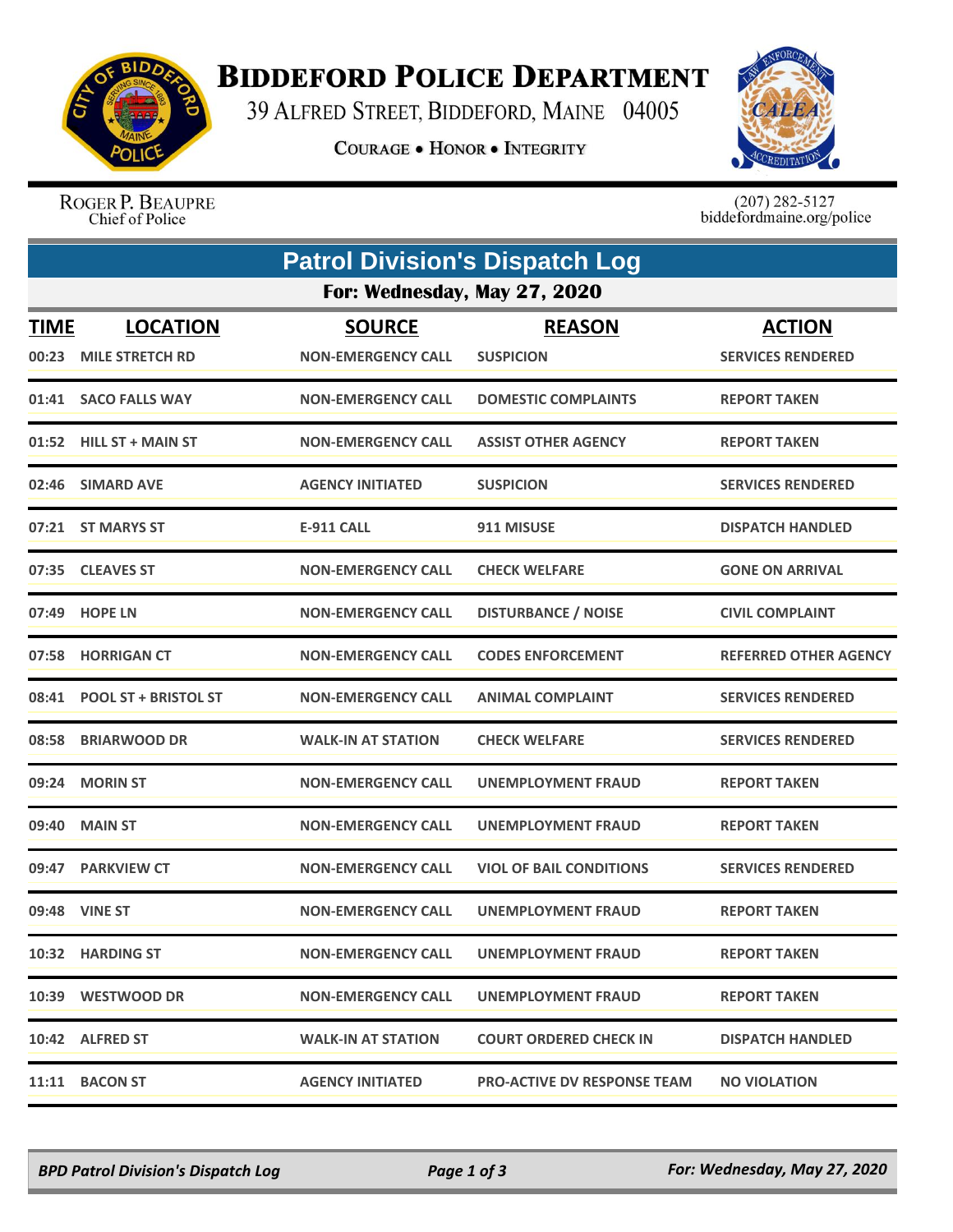

## **BIDDEFORD POLICE DEPARTMENT**

39 ALFRED STREET, BIDDEFORD, MAINE 04005

**COURAGE . HONOR . INTEGRITY** 



ROGER P. BEAUPRE Chief of Police

 $(207)$  282-5127<br>biddefordmaine.org/police

|                              | <b>Patrol Division's Dispatch Log</b>     |                                            |                                    |                                           |  |  |
|------------------------------|-------------------------------------------|--------------------------------------------|------------------------------------|-------------------------------------------|--|--|
| For: Wednesday, May 27, 2020 |                                           |                                            |                                    |                                           |  |  |
| <u>TIME</u><br>00:23         | <b>LOCATION</b><br><b>MILE STRETCH RD</b> | <b>SOURCE</b><br><b>NON-EMERGENCY CALL</b> | <b>REASON</b><br><b>SUSPICION</b>  | <b>ACTION</b><br><b>SERVICES RENDERED</b> |  |  |
|                              | 01:41 SACO FALLS WAY                      | <b>NON-EMERGENCY CALL</b>                  | <b>DOMESTIC COMPLAINTS</b>         | <b>REPORT TAKEN</b>                       |  |  |
|                              | 01:52 HILL ST + MAIN ST                   | <b>NON-EMERGENCY CALL</b>                  | <b>ASSIST OTHER AGENCY</b>         | <b>REPORT TAKEN</b>                       |  |  |
|                              | 02:46 SIMARD AVE                          | <b>AGENCY INITIATED</b>                    | <b>SUSPICION</b>                   | <b>SERVICES RENDERED</b>                  |  |  |
|                              | 07:21 ST MARYS ST                         | E-911 CALL                                 | 911 MISUSE                         | <b>DISPATCH HANDLED</b>                   |  |  |
|                              | 07:35 CLEAVES ST                          | <b>NON-EMERGENCY CALL</b>                  | <b>CHECK WELFARE</b>               | <b>GONE ON ARRIVAL</b>                    |  |  |
|                              | 07:49 HOPE LN                             | <b>NON-EMERGENCY CALL</b>                  | <b>DISTURBANCE / NOISE</b>         | <b>CIVIL COMPLAINT</b>                    |  |  |
| 07:58                        | <b>HORRIGAN CT</b>                        | <b>NON-EMERGENCY CALL</b>                  | <b>CODES ENFORCEMENT</b>           | <b>REFERRED OTHER AGENCY</b>              |  |  |
|                              | 08:41 POOL ST + BRISTOL ST                | <b>NON-EMERGENCY CALL</b>                  | <b>ANIMAL COMPLAINT</b>            | <b>SERVICES RENDERED</b>                  |  |  |
| 08:58                        | <b>BRIARWOOD DR</b>                       | <b>WALK-IN AT STATION</b>                  | <b>CHECK WELFARE</b>               | <b>SERVICES RENDERED</b>                  |  |  |
|                              | 09:24 MORIN ST                            | <b>NON-EMERGENCY CALL</b>                  | UNEMPLOYMENT FRAUD                 | <b>REPORT TAKEN</b>                       |  |  |
| 09:40                        | <b>MAIN ST</b>                            | <b>NON-EMERGENCY CALL</b>                  | <b>UNEMPLOYMENT FRAUD</b>          | <b>REPORT TAKEN</b>                       |  |  |
|                              | 09:47 PARKVIEW CT                         | <b>NON-EMERGENCY CALL</b>                  | <b>VIOL OF BAIL CONDITIONS</b>     | <b>SERVICES RENDERED</b>                  |  |  |
|                              | 09:48 VINE ST                             | <b>NON-EMERGENCY CALL</b>                  | UNEMPLOYMENT FRAUD                 | <b>REPORT TAKEN</b>                       |  |  |
|                              | 10:32 HARDING ST                          | <b>NON-EMERGENCY CALL</b>                  | UNEMPLOYMENT FRAUD                 | <b>REPORT TAKEN</b>                       |  |  |
|                              | 10:39 WESTWOOD DR                         | <b>NON-EMERGENCY CALL</b>                  | UNEMPLOYMENT FRAUD                 | <b>REPORT TAKEN</b>                       |  |  |
|                              | 10:42 ALFRED ST                           | <b>WALK-IN AT STATION</b>                  | <b>COURT ORDERED CHECK IN</b>      | <b>DISPATCH HANDLED</b>                   |  |  |
|                              | 11:11 BACON ST                            | <b>AGENCY INITIATED</b>                    | <b>PRO-ACTIVE DV RESPONSE TEAM</b> | <b>NO VIOLATION</b>                       |  |  |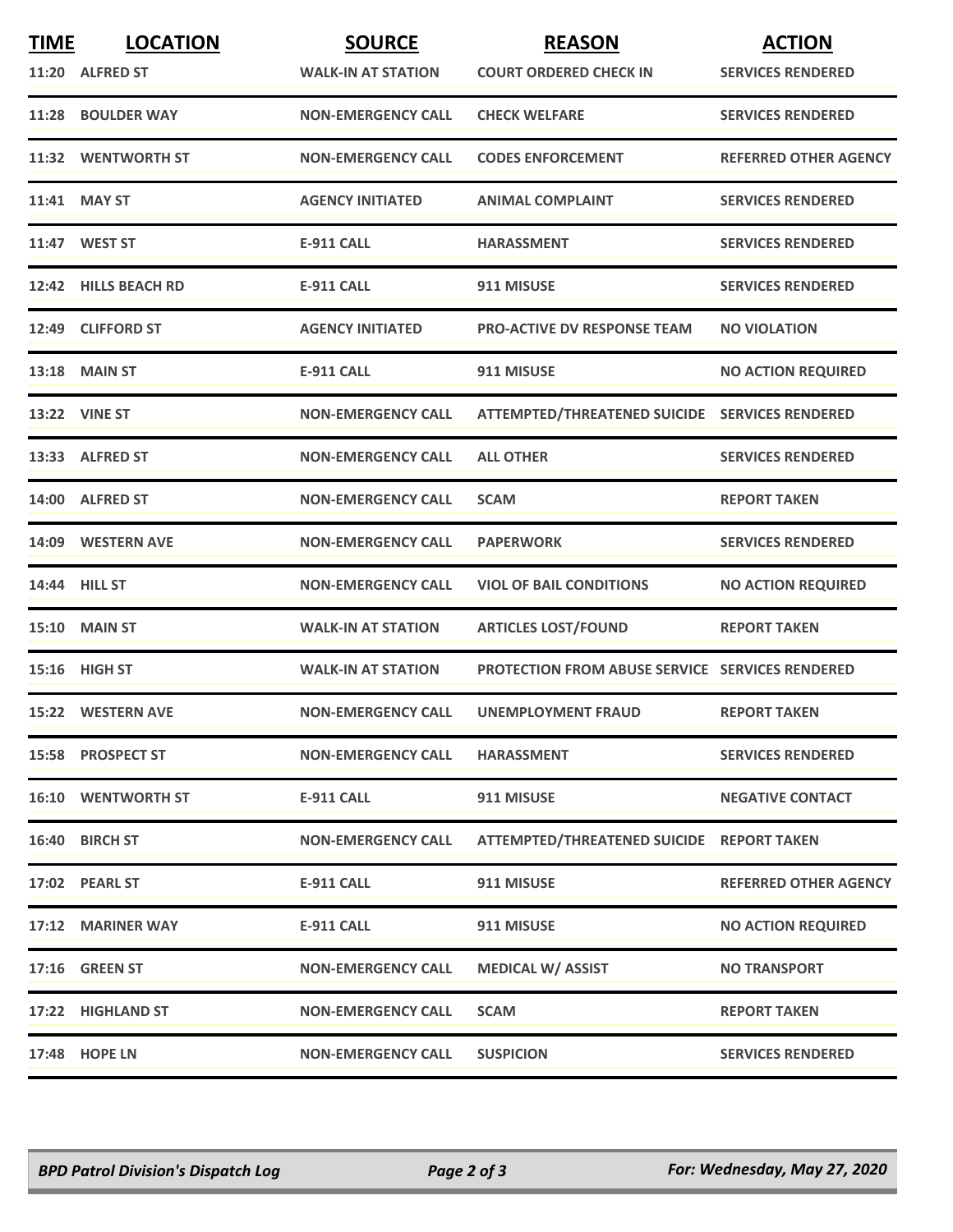| <b>TIME</b> | <b>LOCATION</b><br>11:20 ALFRED ST | <b>SOURCE</b><br><b>WALK-IN AT STATION</b> | <b>REASON</b><br><b>COURT ORDERED CHECK IN</b>         | <b>ACTION</b><br><b>SERVICES RENDERED</b> |
|-------------|------------------------------------|--------------------------------------------|--------------------------------------------------------|-------------------------------------------|
|             | 11:28 BOULDER WAY                  | <b>NON-EMERGENCY CALL</b>                  | <b>CHECK WELFARE</b>                                   | <b>SERVICES RENDERED</b>                  |
|             | 11:32 WENTWORTH ST                 | <b>NON-EMERGENCY CALL</b>                  | <b>CODES ENFORCEMENT</b>                               | <b>REFERRED OTHER AGENCY</b>              |
|             | 11:41 MAY ST                       | <b>AGENCY INITIATED</b>                    | <b>ANIMAL COMPLAINT</b>                                | <b>SERVICES RENDERED</b>                  |
|             | 11:47 WEST ST                      | <b>E-911 CALL</b>                          | <b>HARASSMENT</b>                                      | <b>SERVICES RENDERED</b>                  |
|             | 12:42 HILLS BEACH RD               | <b>E-911 CALL</b>                          | 911 MISUSE                                             | <b>SERVICES RENDERED</b>                  |
|             | 12:49 CLIFFORD ST                  | <b>AGENCY INITIATED</b>                    | <b>PRO-ACTIVE DV RESPONSE TEAM</b>                     | <b>NO VIOLATION</b>                       |
|             | <b>13:18 MAIN ST</b>               | <b>E-911 CALL</b>                          | 911 MISUSE                                             | <b>NO ACTION REQUIRED</b>                 |
|             | <b>13:22 VINE ST</b>               | <b>NON-EMERGENCY CALL</b>                  | ATTEMPTED/THREATENED SUICIDE SERVICES RENDERED         |                                           |
|             | 13:33 ALFRED ST                    | <b>NON-EMERGENCY CALL</b>                  | <b>ALL OTHER</b>                                       | <b>SERVICES RENDERED</b>                  |
|             | 14:00 ALFRED ST                    | <b>NON-EMERGENCY CALL</b>                  | <b>SCAM</b>                                            | <b>REPORT TAKEN</b>                       |
|             | 14:09 WESTERN AVE                  | <b>NON-EMERGENCY CALL</b>                  | <b>PAPERWORK</b>                                       | <b>SERVICES RENDERED</b>                  |
|             | 14:44 HILL ST                      | <b>NON-EMERGENCY CALL</b>                  | <b>VIOL OF BAIL CONDITIONS</b>                         | <b>NO ACTION REQUIRED</b>                 |
|             | <b>15:10 MAIN ST</b>               | <b>WALK-IN AT STATION</b>                  | <b>ARTICLES LOST/FOUND</b>                             | <b>REPORT TAKEN</b>                       |
|             | 15:16 HIGH ST                      | <b>WALK-IN AT STATION</b>                  | <b>PROTECTION FROM ABUSE SERVICE SERVICES RENDERED</b> |                                           |
|             | 15:22 WESTERN AVE                  | <b>NON-EMERGENCY CALL</b>                  | <b>UNEMPLOYMENT FRAUD</b>                              | <b>REPORT TAKEN</b>                       |
|             | 15:58 PROSPECT ST                  | <b>NON-EMERGENCY CALL</b>                  | <b>HARASSMENT</b>                                      | <b>SERVICES RENDERED</b>                  |
|             | <b>16:10 WENTWORTH ST</b>          | <b>E-911 CALL</b>                          | 911 MISUSE                                             | <b>NEGATIVE CONTACT</b>                   |
|             | 16:40 BIRCH ST                     | <b>NON-EMERGENCY CALL</b>                  | ATTEMPTED/THREATENED SUICIDE REPORT TAKEN              |                                           |
|             | 17:02 PEARL ST                     | <b>E-911 CALL</b>                          | 911 MISUSE                                             | <b>REFERRED OTHER AGENCY</b>              |
|             | 17:12 MARINER WAY                  | <b>E-911 CALL</b>                          | 911 MISUSE                                             | <b>NO ACTION REQUIRED</b>                 |
|             | <b>17:16 GREEN ST</b>              | <b>NON-EMERGENCY CALL</b>                  | <b>MEDICAL W/ ASSIST</b>                               | <b>NO TRANSPORT</b>                       |
|             | 17:22 HIGHLAND ST                  | <b>NON-EMERGENCY CALL</b>                  | <b>SCAM</b>                                            | <b>REPORT TAKEN</b>                       |
|             | 17:48 HOPE LN                      | <b>NON-EMERGENCY CALL</b>                  | <b>SUSPICION</b>                                       | <b>SERVICES RENDERED</b>                  |